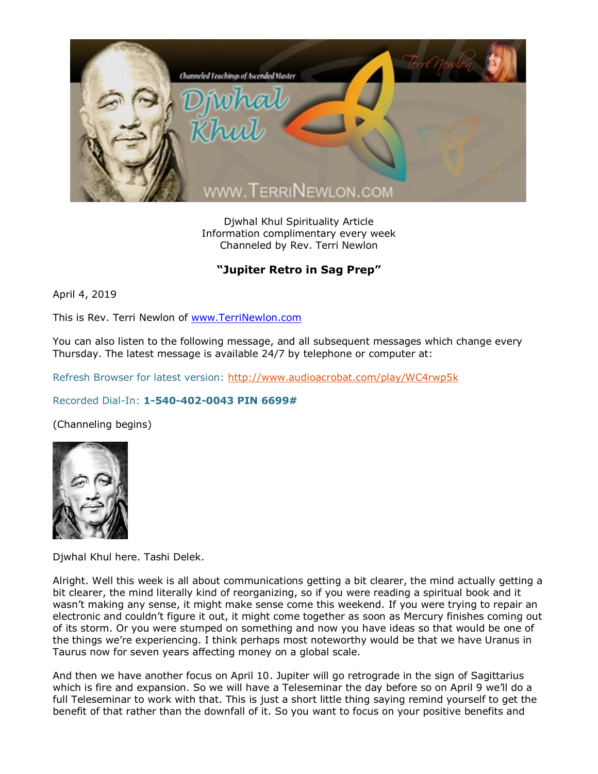

Djwhal Khul Spirituality Article Information complimentary every week Channeled by Rev. Terri Newlon

## **"Jupiter Retro in Sag Prep"**

April 4, 2019

This is Rev. Terri Newlon of [www.TerriNewlon.com](http://www.terrinewlon.com/)

You can also listen to the following message, and all subsequent messages which change every Thursday. The latest message is available 24/7 by telephone or computer at:

Refresh Browser for latest version:<http://www.audioacrobat.com/play/WC4rwp5k>

## Recorded Dial-In: **1-540-402-0043 PIN 6699#**

(Channeling begins)



Djwhal Khul here. Tashi Delek.

Alright. Well this week is all about communications getting a bit clearer, the mind actually getting a bit clearer, the mind literally kind of reorganizing, so if you were reading a spiritual book and it wasn't making any sense, it might make sense come this weekend. If you were trying to repair an electronic and couldn't figure it out, it might come together as soon as Mercury finishes coming out of its storm. Or you were stumped on something and now you have ideas so that would be one of the things we're experiencing. I think perhaps most noteworthy would be that we have Uranus in Taurus now for seven years affecting money on a global scale.

And then we have another focus on April 10. Jupiter will go retrograde in the sign of Sagittarius which is fire and expansion. So we will have a Teleseminar the day before so on April 9 we'll do a full Teleseminar to work with that. This is just a short little thing saying remind yourself to get the benefit of that rather than the downfall of it. So you want to focus on your positive benefits and